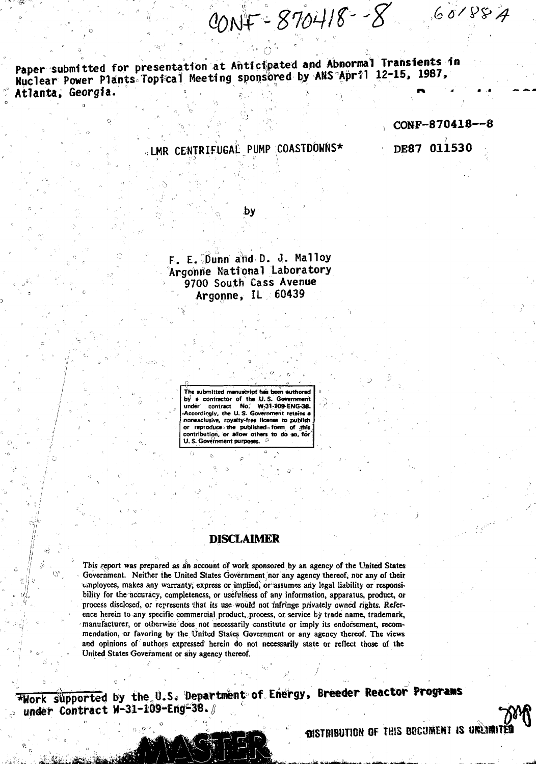CONF = 870418 - - 8

Paper submitted for presentation at Anticipated and Abnormal Transients in **Nuclear Power Plants Topfcal Meeting sponsored by ANS April 12-15, 19B/, Atlanta, Georgia. » . \;, •\***

**CONF-870418—8**

 $601887$ 

**CENTRIFUGAL PUMP COASTDOWNS\***

**DE87 011530**

**by**

**F. E. ibunn aiid D. 0. Halloy Argonrie National Laboratory 9700 South Cass Avenue Argonne, IL 60439**

> **The submitted manuscript has been authored by > contractor of the U. S. Government under contract No. W-31-109-ENG-38- -Accordingly, the U. S. Government retBins a nonexclusive, royalty-free license to publish or reproduce" the published form of this contribution, or allow others to do so, for'** U. S. Government purposes.

# **DISCLAIMER**

**Tbjs report was prepared as ah account of work sponsored by an agency of the United States Government. Neither the United States Government nor any agency thereof, nor any of their** employees, makes any warranty, express or implied, or assumes any legal liability or responsi**bility for the accuracy, completeness, or usefulness of any information, apparatus, product, or process disclosed, or represents that its use would not infringe privately owned rights. Reference herein to any specific commercial product, process, or service by trade name, trademark, manufacturer, or otherwise does not necessarily constitute or imply its endorsement, recommendation, or favoring by the United States Government or any agency thereof. The views and opinions of authors expressed herein do not necessarily state or reflect those of the United States Government or any agency thereof.**

Work supported by the,U.S. Departmentof Energy, **Breeder Reactor Progrwis** under Contract W-31-109-Eng-38.

**OISTRIBUTION OF THIS BECUMENT IS UNLIMITED**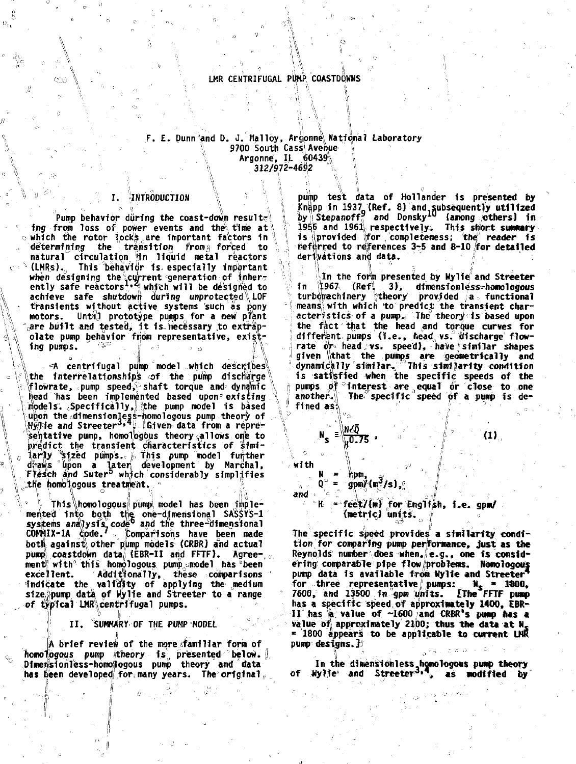# LMR CENTRIFUGAL PUMP COASTDOWNS

# F. E. Dunn and D. J. Malloy, Argonne National Laboratory 9700 South Cass Avenue  $\langle$  Argonne, Il.  $60439\%$  "  $\mathbb{R}$  312/972-4692  $\mathbb{R}$

# I. 'INTRODUCTION \ •<

1 1

Pump behavior during the coast-down resulting from loss of power events and the time at o which the rotor lock's are important factors in determining the transition from forced to natural circulation in liquid metal reactors  $\circ$   $\cdot$  (LMRs). This behavior is especially important when designing the current generation of inher-<br>ently safe reactors : which will be designed to achieve safe shutdown during unprotected\ LOF transients without active systems such as pony<br>motors. Until prototype pumps for a new plant motors. Until prototype pumps for a new plant are built and tested, it is necessary to extrapolate pump behavior from representative, existing pumps.  $\begin{array}{ccc} \hbox{``$$\mathscr{C}$''} \end{array}$  , , , , , , , , ,

 $4$  centrifugal pump model which describes the interrelationships of the pump discharge  $\epsilon$  (flowrate, pump speed, shaft torque and dynamic V head has been implemented based upon= existing models. Specifically, the pump model is based \upon the dimensionless-homologous pump theory of<br>\Hy\le and Streeter \*\* \Given data from a repre**h** sehtattve pump, homologous theory allows one to predict the transient characteristics of simibredict the transient characteristics of simi-<br>larily "sized pumps.: j. This pump model further draws upon a later development by Marchal,<br>Flesch and Suter<sup>b</sup> which considerably simplifies  $\epsilon$  the homologous treatment.

.. v This\homologous pump model has been implemented into both the one-dimensional SASSYS-1<br>systems analysis code and the three-dimensional C0W1IX-1A code.' - Comparisons have been made both against other pump models (CRBR) and actual pump) coastdown data) (EBR-II and FFTF). Agreement with this homologous pump model has  $b$  been excellent. Addftfonally, these comparisons indicate the validity of applying the medium size; pump data of Wylie and Streeter to a range of typical LMR centrifugal pumps.

**II. SUMMARY OF THE PUMP MODEL '**

A brief review of the moreafamiliar form of homologous pump theory is presented below. Dimensionless-homo|logous pump theory and data has been developed for many years. The original,

pump test data of Hollander is presented by | Knapp in 1937 (Ref. 8) and subsequently utilized<br>| by | Stepanoff | and Donsky<sup>10</sup> (among others) in 1956 and 1961 respectively. This short summary is provided for completeness; the reader is .1 referred to references 3-5 and 8-10 for detailed **derivations and data. /**

In the form presented by Wylie and Streeter in 1967 (Refi 3), dimensionless-homologous  $\parallel$  turbomachinery  $\parallel$  theory provided  $/a$  , functional 'means'^, with which to predicj; the transient characteristics of a pump. The theory is based upon i the fact that the head and torque curves for |different pumps (i.e., head vs. discharge flow-<br>|rate or head vs. speed), have similar shapes given that the pumps are geometrically and dynamically similar. This similarity condition is satisfied when the specific speeds of the j; pumps of °Interest are 0equal or close to one ; another. The specific speed of a pump is defined as:

N s  $\frac{100}{10.75}$ ,  $\frac{100}{10}$ ,  $\frac{100}{10}$ ,  $\frac{100}{10}$ 

**'{•'=,**

bpm, \_ gpm/(m<sup>3</sup>/s),

 $\sim$ with

O

1

## and H =feeW(«if for English, i.e . **gpm/** (metric) units. |

The specific speed provides a similarity condition for comparing pump performance, just as the Reynolds number does when, e.g. , one is considering comparable pipe flow problems. Homologous<br>pump data is available from Wylie and Streeter for three representative pumps:  $N_S = 1800$ ,  $7600$ , and  $13500$  in gpm units. Eine FFTF pump  $7600$ , and  $13500$  in gpm units. has a specific speed of approximately 1400, EBR- $II$  has  $a$  value of  $\sim 1600$  and CRBR's pump has a value of approximately 2100; thus the data at N. = 1800 appears to be applicable to current LNR pump designs.]

In the dimensionless homologous pump theory<br>of Mylie and Streeter<sup>3,4</sup>, as modified by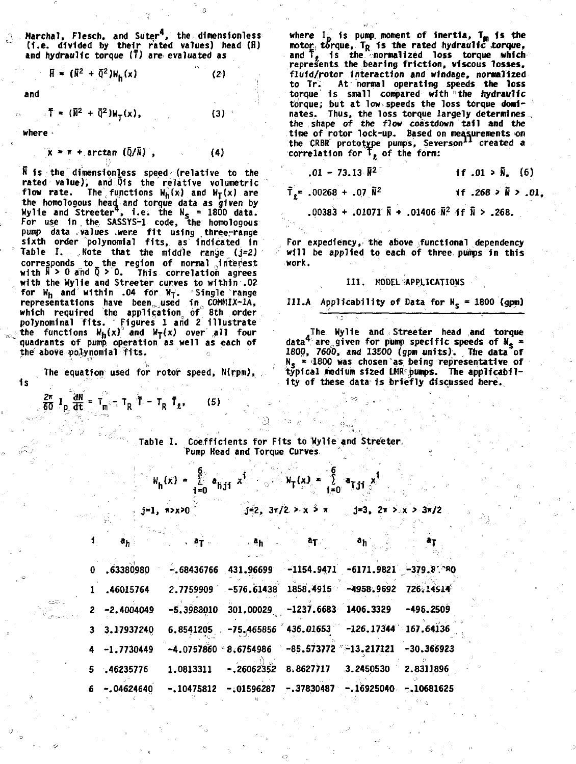**Marchal, Flesch, and SuterV the dimensfoniess (I.e . divided by their rated values) head (fi) and hydraulic torque (?) are evaluated as**

**(2)**

**(3)**

**(4)**

**(5)**

$$
\mathbf{H} = (\mathbf{R}^2 + \mathbf{Q}^2) \mathbf{W}_h(\mathbf{x})
$$

**and**

 $T = (\bar{N}^2 + \bar{Q}^2)W_T(x)$ ,

**where**

 $\bar{x}$  =  $\bar{r}$  + arctan ( $\bar{Q}/\bar{N}$ ),

**N Is the dimensionless speed (relative to the rated value), and 01s the relative volumetric flow rate.** The functions  $W_h(x)$  and  $W_T(x)$  are **the homologous head, and torque data as given by Wylie and Streeter , I.e. the Ns = 1800 data. For use In . the, SASSYS-1 code, the homologous pump data values twere fi t using three-range sixth order polynomial fits , as Indicated in Table I. Mote that the middle ranije (j=2) corresponds to the region of normal Interest with R > 0 and 5 > 0. This correlation agrees with the Wylie and Streeter curves to within .02 for Wn and within .04 for Wy. Single range representations have been,., used 1no C0MMIX-1A, which required the application, of 8th order polynominal fits . Figures 1 and 2 illustrate** the functions  $W_h(x)$ <sup>3</sup> and  $W_T(x)$  over all four **quadrants of pump operation as well as each of the above polynomial fits . ~**

**is The equation used for rotor speed, N(rpm),**

 $\frac{2\pi}{60} I_{\text{p}} \frac{\partial N}{\partial t} = T_{\text{m}} - T_{\text{R}} \bar{T} - T_{\text{R}} \bar{T}_{\text{g}}$ 

where I<sub>D</sub> is pump moment of inertia, T<sub>M</sub> is the **motor, torque, TR is the rated hydraulic torque, and T, is the normalized loss torque which represents the bearing friction, viscous losses, fluid/rotor interaction and windage, normalized to Tr. At normal operating speeds the loss torque is small compared with 'the hydraulic torque; but at low speeds the loss torque dominates. Thus, the loss torque largely determines the shape of the flow coastdown tail and the time of rotor lock-up. Based on measurements on the CRBR prototype pumps, Severson<sup>11</sup> created a**  $\frac{1}{2}$  correlation for  $\mathsf{T}_k$  of the form:

| $.01 - 73.13$ $\bar{N}^2$                                           | if $.01 > \bar{N}$ , (6)     |
|---------------------------------------------------------------------|------------------------------|
| $\bar{T}_e$ = .00268 + .07 $\tilde{N}^2$                            | if .268 $> \tilde{N}$ > .01, |
| .00383 + .01071 $\bar{N}$ + .01406 $\bar{N}^2$ if $\bar{N}$ > .268. |                              |

**For expediency, the above functional dependency will be applied to each of three pumps in this work.**

#### **III. MODEL APPLICATIONS ,**

III.A. Applicationality of Data for 
$$
N_s = 1800
$$
 (gpm)

**The Wylie and, Streeter head and torque data<sup>4</sup> are,.given for pump specific speeds of N, = 1800, 7600, and 13EO0 (gpin units). The data of Ns « '1800 was chosen as being representative of typical medium sized LMR pumps. The applicability of these data: is briefly discussed here.**

**Table I. Coefficients for Fits to Wylie and Streeter Pump Head and Torque Curves**

$$
W_h(x) = \sum_{i=0}^{6} a_{hj1} x^i
$$
  
 
$$
y = \sum_{i=0}^{6} a_{hj1} x^i
$$
  
 
$$
y = \sum_{i=0}^{6} a_{hj1} x^i
$$
  
 
$$
y = \sum_{i=0}^{6} a_{hj1} x^i
$$

|  | ी. अ <sub>स</sub> ्थान स्थान हो अस्ति स्थान को स्थान को स्थान को स्थान को स्थान को स्थान को स्थान को स्थान को स्थान को स्थान |  |  |
|--|------------------------------------------------------------------------------------------------------------------------------|--|--|
|  | $0.63380980 - .68436766 431.96699 -1154.9471 -6171.9821 -379.8^{9}0$                                                         |  |  |
|  | 1 .46015764 2.7759909 -576.61438 1858.4915 -4958.9692 726.14914                                                              |  |  |
|  | 2 -2.4004049 -5.3988010 301.00029 -1237.6683 1406.3329 -496.2509                                                             |  |  |
|  | $3\quad 3.17937240 \qquad 6.8541205 \qquad -75.465856 \qquad 436.01653 \qquad -126.17344 \qquad 167.64136$                   |  |  |
|  | 4 -1.7730449 -4.0757860 8.6754986 -85.573772 -13.217121 -30.366923                                                           |  |  |
|  | 5 .46235776     1.0813311   -.26062352          8.8627717     3.2450530     2.8311896                                        |  |  |
|  | $6 - .04624640 - .10475812 - .01596287 - .37830487 - .16925040 - .10681625$                                                  |  |  |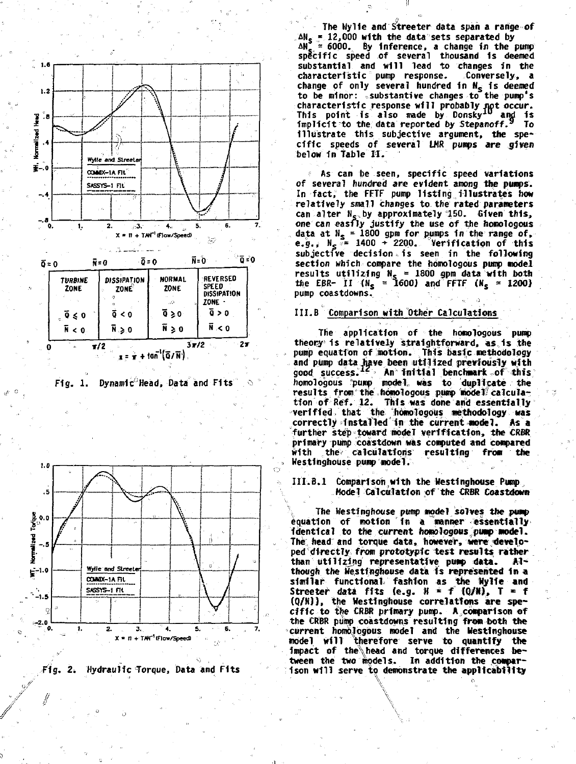





Fig. 2. Hydraulic Torque, Data and Fits

The Wylie and Streeter data span a range of ANS = 12,000 with the data sets separated by<br>  $\Delta N_S = 12,000$  with the data sets separated by<br>  $\Delta N_S = 6000$ . By inference, a change in the pump<br>
specific speed of several thousand is deemed substantial and will lead to changes in the characteristic pump response. Conversely, a change of only several hundred in N<sub>5</sub> is deemed<br>to be minor: substantive changes to the pump's characteristic response will probably not occur.<br>This point is also made by Donsky<sup>10</sup> and is<br>implicit to the data reported by Stepanoff.<sup>9</sup> To illustrate this subjective argument, the specific speeds of several LMR pumps are given below in Table II.

As can be seen, specific speed variations of several hundred are evident among the pumps. In fact, the FFTF pump listing illustrates how relatively small changes to the rated parameters can alter N<sub>s</sub> by approximately 150. Given this,<br>one can easily justify the use of the homologous data at  $N_s = 1800$  gpm for pumps in the range of,<br>e.g.,  $N_s = 1400 \div 2200$ . Verification of this subjective decision is seen in the following section which compare the homologous pump model results utilizing  $N_s = 1800$  gpm data with both<br>the EBR- II ( $N_s = 1600$ ) and FFTF ( $N_s = 1200$ ) pump coastdowns.

### III.B Comparison with Other Calculations

The application of the homologous pump theory is relatively straightforward, as is the pump equation of motion. This basic methodology and pump data have been utilized previously with<br>good success.<sup>12</sup> An initial benchmark of this homologous pump model was to duplicate the<br>results from the homologous pump model calculation of Ref. 12. This was done and essentially verified that the homologous methodology was<br>correctly installed in the current model. As a further step toward model verification, the CRBR primary pump coastdown was computed and compared with the calculations resulting from the Westinghouse pump model.

III.B.1 Comparison with the Westinghouse Pump Model Calculation of the CRBR Coastdown

The Westinghouse pump model solves the pump equation of motion in a manner essentially identical to the current homologous pump model. The head and torque data, however, were developed directly from prototypic test results rather than utilizing representative pump data.  $-11$ though the Westinghouse data is represented in a similar functional fashion as the Wylie and<br>Streeter data fits (e.g.  $H = f(0/N)$ ,  $T = f(0/N)$ ), the Westinghouse correlations are specific to the CRBR primary pump. A comparison of the CRBR pump coastdowns resulting from both the current homologous model and the Westinghouse model will therefore serve to quantify the impact of the head and torque differences between the two models. In addition the comparison will serve to demonstrate the applicability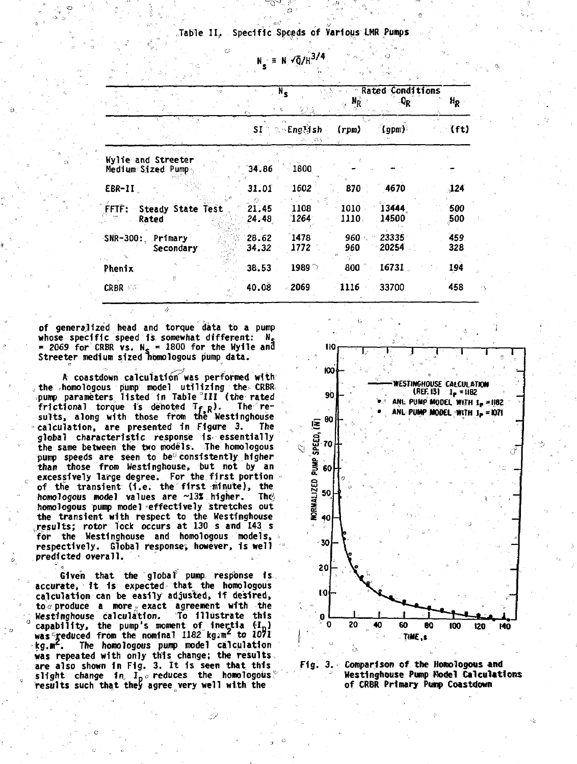# Table II, Specific Speeds of Various LMR Pumps

 $N_s \equiv N \sqrt{Q/H}^{3/4}$ 

| 10                                      |                | $N_{\rm s}$<br>$\pi$ .<br>砂文 | $\alpha = 5$<br>Ġ. | <b>Rated Conditions</b><br>$-9R$ | $H_R$        |
|-----------------------------------------|----------------|------------------------------|--------------------|----------------------------------|--------------|
| है ज़                                   | SI             | े -English -<br>ಾನ           | (rpm)              | `(gpm)`                          | (ft)         |
| Wylie and Streeter<br>Medium Sized Pump | 34.86          | $-1800$                      |                    |                                  |              |
| EBR-II                                  | 31.01          | 1602                         | 870                | 4670                             | $\sqrt{124}$ |
| FFTF: Steady State Test<br>Rated        | 21.45<br>24.48 | 1108<br>1264                 | 1010<br>1110.      | 13444<br>14500                   | 500<br>500   |
| SNR-300: Primary<br>Secondary           | 28.62<br>34.32 | 1478<br>1772                 | $960 -$<br>960     | 23335<br>20254                   | 459<br>328   |
| Phenix                                  | 38.53          | 1989 $\circ$                 | 800                | 16731                            | 194          |
| ť.<br><b>CRBR</b>                       | 40.08          | - 2069                       | 1116 -             | 33700                            | 458          |

**of generalized head and torque data to a pump whose specific speed is somewhat different: N<sup>s</sup> = 2069 for CRBR vs. N, = 1800 for the Wyile and Streeter medium sized Homologous pump data.**

**A coastdown calculation"was performed with the homologous pump model utilizing the CRBR pump parameters listed In Table III (the rated frictional torque is denoted T\* R) . The results, along with those from the Westinghouse calculation, are presented in Figure 3. The global characteristic response Is essentially the same between the two models. The homologous pump speeds are seen to be" consistently higher than those from Westinghouse, but not by an** excessively large degree. For the first portion **of the transient (I.e. the first minute), the homologous model values are ~13% higher.** The in **homologous pump model effectively stretches out the transient with respect to the Westinghouse ..results; rotor lock occurs at 130 s and 143 s for the Westinghouse and homologous models, respectively. Global response, however, 1s well predicted overall. =**

**Given that the globaf pump response is accurate, it is expected that the homologous calculation can be easily adjusted, If desired, to o produce a more. exact agreement with the Kestfhghouse calculation. To illustrate this**  $\frac{1}{2}$  capability, the pump's moment of inertia  $(I_{\rm n})$ was<sup>c</sup>reduced from the nominal 1182 kg.m<sup>2</sup> to 1071 **kg.ir. The homologous pump model calculation was repeated with only this change; the results are also shown in Fig. 3. It is seen that this slight change in. lpo reduces the homologous; results such that they agree very well with the**



**Fig. 3. Comparison of the Homologous and <sup>J</sup> Westinghouse Pump Model Calculations of CRBR Primary Pump Coastdown**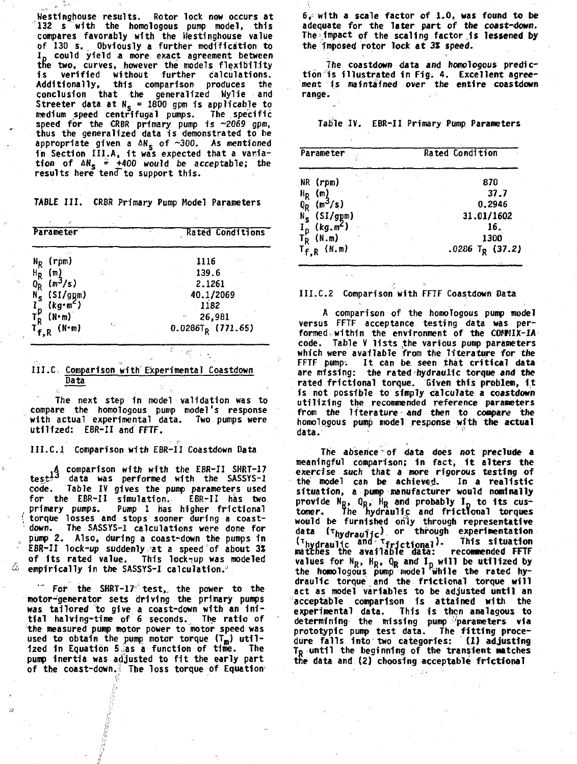**Westinghouse results. Rotor lock now occurs at 132 s with the homologous pump model, this compares favorably with the Westinghouse value of 130 s. Obviously a further modification to Ip could yield a more exact agreement between the two, curves, however the models flexibility Is verified without further calculations. Additionally, this comparison produces the conclusion that the generalized Wylie and Streeter data at**  $N_s = 1800$  **gpm is applicable to medium speed centrifugal pumps. The specific speed for the CRBR primary pump is ~2069 gpm, thus the generalized data is demonstrated to be** appropriate given a  $\Delta N_S$  of ~300. As mentioned **in Section III.A, it was expected that a variation of AN, +400 would be acceptable; the results here tend to support this.**

**TABLE III. CRBR Primary Pump Model Parameters**

| n<br>Parameter                                                 |      | Rated Conditions     |
|----------------------------------------------------------------|------|----------------------|
|                                                                |      | 49.9                 |
| $N_R$ (rpm)                                                    |      | 1116                 |
| $\frac{H_R}{Q_R}$ (m)<br>$\frac{H_R}{Q_R}$ (m <sup>3</sup> /s) | c.   | 139.6                |
|                                                                |      | 2.1261               |
|                                                                |      | 40.1/2069            |
| $N_S^{\prime}$ (SI/gpm)<br>I <sub>n</sub> (kg·m <sup>2</sup> ) |      | 1182                 |
|                                                                |      | 26,981<br>f)         |
| $T_R^P$ (N·m)<br>$T_{f,R}^R$ (N·m)                             | el c | $0.0286T_R$ (771.65) |

### **III. C Comparison with Experimental Coastdown Data**

**The next step in model validation was to compare the homologous pump model's response with actual experimental data. Two pumps were utilized: EBR-II and FFTF.**

### **III.C. I Comparison with EBR-II Coastdown Data**

**A comparison with with the EBR-II SHRT-17 i j data was performed with the SASSYS-1 code. Table IV gives the pump parameters used for the EBR-II simulation. EBR-II has two primary pumps. Pump 1 has higher frictional ' torque losses and stops sooner during a coast down. The SASSYS-1 calculations were done for pump 2. Also, during a coast-down the pumps in EBR-II lock-up suddenly at a speed of about 3S of its rated value. This lock-up was modeled empirically in the SASSYS-1 calculation."**

**1**

**'" For the SHRT-17 test,, the power to the motor-generator sets driving the primary pumps was tailored to give a coast-down with an initial halving-time of 6 seconds. The ratio of the measured pump motor power to motor speed was** used to obtain the pump motor torque (T<sub>m</sub>) util**ized in Equation 5 as a function of time. The** pump inertia was adjusted to fit the early part **of the coast-down. The loss torque of Equation** **6, with a scale factor of 1.0, was found to be** adequate for the later part of the coast-down. **The impact of the scaling factor,is lessened by the imposed rotor lock at 3S speed.**

**The coastdown data and homologous prediction is illustrated In Fig; 4. Excellent agreement is maintained over the entire coastdown range.**

**Table IV. EBR-II Primary Pump Parameters**

| Parameter                                                                                                                | Rated Condition             |  |  |
|--------------------------------------------------------------------------------------------------------------------------|-----------------------------|--|--|
| NR (rpm)                                                                                                                 | 870                         |  |  |
|                                                                                                                          | 37.7                        |  |  |
|                                                                                                                          | 0.2946                      |  |  |
|                                                                                                                          | 31.01/1602                  |  |  |
| η.                                                                                                                       | 16.                         |  |  |
|                                                                                                                          | 1300                        |  |  |
| $H_R$ (m)<br>$0_R$ (m <sup>3</sup> /s)<br>$N_S$ (SI/gpm)<br>$I_p$ (kg.m <sup>2</sup> )<br>$T_R$ (N.m)<br>$T_{f,R}$ (N.m) | .0286 T <sub>R</sub> (37.2) |  |  |

**III.C.2 Comparison with FFTF Coastdown Data**

**A comparison of the homologous pump model versus FFTF acceptance testing data was performed, within the environment of the COMMIX-1A code. Table V lists the various pump parameters which were available from the literature for the FFTF pump: It can be, seen that critical data are missing: the rated hydraulic torque and the rated frictional torque. Given this problem, It is not possible to simply calculate a coastdown utilizing the recommended reference parameters from the literature and then to compare the homologous pump model response with the actual data. ! C!**

**The absence of data does not preclude a meaningful comparison; in fact, it alters the exercise such that a more rigorous testing of the model can be achieved. In a realistic situation, a pump manufacturer would nominally provide NR, On, HR and probably I\_ to its cus-tomer. The nydraulic and frictional torques** would be furnished only through representative<br>data (t<sub>hydraulic)</sub> or through experimentation matches the available data: recommended <del>litt</del><br>values for N<sub>R</sub>, H<sub>R</sub>, Q<sub>R</sub> and I<sub>D</sub> will be utilized by<br>the homologous pump model while the rated hy**hydraulic ""I" <sup>T</sup>frJct1onal)- th1s sl \*"•\*£ " tcnes the available data: recommended FFTF draulic torque and the frictional torque will act as model variables to be adjusted until an 'acceptable comparison is attained with the experimental data. This is then analagous to determining the missing pump parameters via prototypic pump test data. The fitting procedure falls Into two categories: (1) adjusting To until the beginning of the transient Matches the data and (2) choosing acceptable frictional**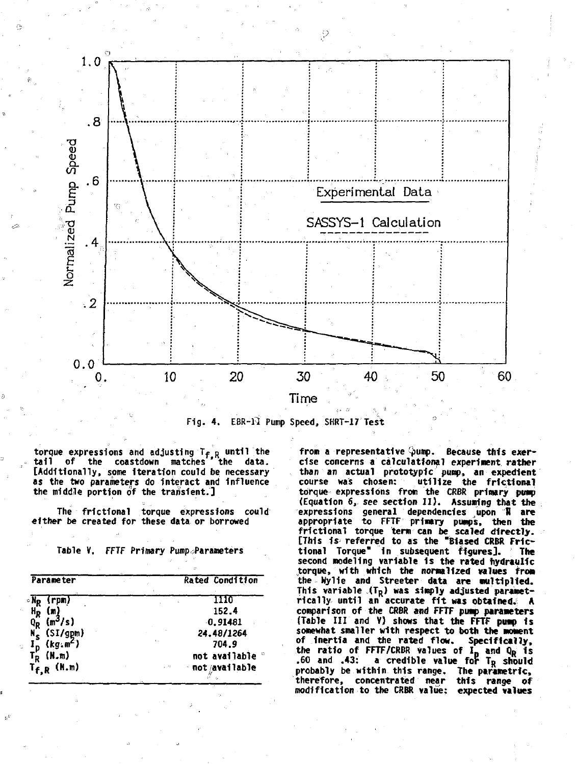

**Fig. 4. EBR-fi Pump Speed, SHRT-17 Test**

**torque expressions and adjusting Tf R until the tail of the coastdown matches ' the data. [Additionally, some iteration could be necessary as the two parameters do Interact and influence the middle portion of the transient.]**

**The frictional torque expressions could either be created for these data or borrowed**

**Table V. FFTF Primary Pump.;Parameters**

| Parameter                        | Rated Condition                |
|----------------------------------|--------------------------------|
| (rpm)<br>∘Np                     | 1110                           |
| $\mathbf{H}_{\mathbf{R}}$<br>(m) | 152.4                          |
| $0_R \, (\text{m}^3/\text{s})$   | 0.91481                        |
| $N_S^T$ (SI/gpm)                 | 24.48/1264                     |
| $(kg,m^2)$                       | 704.9                          |
| (N.m)<br>Гp.                     | not available                  |
| $T_{f,R}$ (N.m)                  | ∙not/available<br>$\omega = 0$ |

from a representative pump. Because this exer**cise concerns a calculatfonal experiment rather than an actual prototypic pump, an expedient** utilize the frictional **torque expressions from the CfiBR primary pimp (Equation 6, see section II) . Assuming that the expressions general dependencies upon B are appropriate to FFTF primary pumps, then the frictional torque term can be scaled directly. [This 1s referred to as the "Biased CRBR FHctional Torque" in subsequent figures]. The second modeling variable 1s the rated hydraulic torque, with which the normalized values from the Hylie and Streeter data are multiplied. This variable ,(TR) was simply adjusted parametrically until an accurate fi t was obtained.; A comparison of the CRBR and FFTF pump parameters (Table III and V) shows that the FFTF pump is somewhat smaller with respect to both the moment of Inertia and the rated flow. Specifically, the ratio of FFTF/CRBR values of I <sup>D</sup> and QR is .60 and .43: a credible value fop TR should probably be within this range. The parametric, therefore, concentrated near this range of modification to the CRBR value: expected values**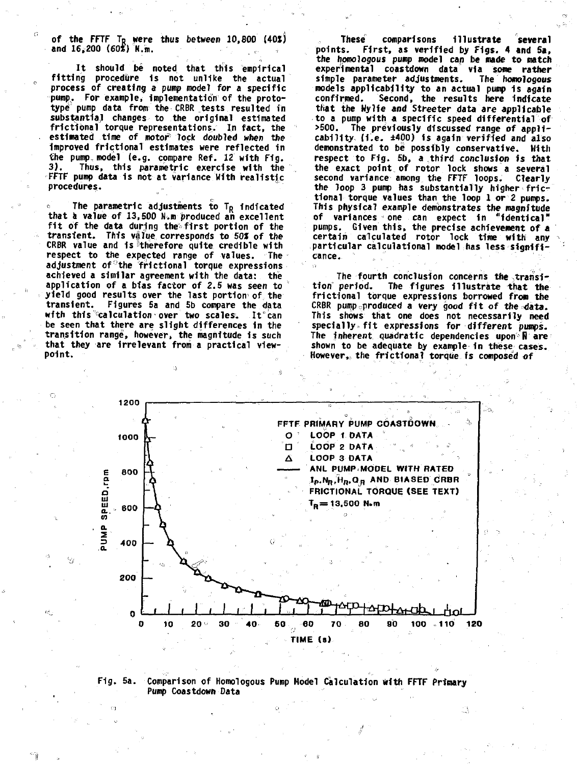**of the FFTF TR were thus between 10,800 (40JJ and 16,200 (60S) N.m.**

n.

**It should be noted that this empirical fitting procedure Is not unlike the actual process of creating a pump model for a specific pump,. For example, Implementation of the prototype pump data from the CRBR tests resulted in substantial changes to the original estimated frictibnal torque representations. In fact, the estimated time of motor<sup>6</sup> lock doubled when the Improved frictional estimates were reflected in the pump, model (e.g. compare Ref. 12 with Fig. 3 ). Thus, this parametric exercise with the FFTF pump data Is not at variance With realistic procedures.**

The parametric adjustments to T<sub>R</sub> indicated **that a value of 13,500 N.m produced an excellent** fit of the data during the first portion of the transient. This value corresponds to 50% of the **CRBR value and 1s ''therefore quite credible with respect to the expected range of values. The adjustment of°the fractional torque expressions achieved a similar agreement with the data: the application of a bias factor of 2.5 was seen to yield good results over the last portion<sup>1</sup> of the transient. Figures 5a and 5b compare the data with this"calculation over two scales. It"can be seen that there are slight differences in the transition range, however, the magnitude Is such that they are Irrelevant from a practical viewpoint.**

**These comparisons Illustrate several points. First, as verified by Figs. 4 and Sa, the homologous pump model can be made to match experimental coastdown data via some rather** simple parameter adjustments. **models applicability to an actual pump 1s again confirmed. Second, the results here indicate that the Wylie and Streeter data are applicable to a pump with a specific speed differential of >500. The previously discussed range of applicability (i.e . ±400) is again verified and also demonstrated to be possibly conservative. With respect to Fig. 5b, a third conclusion is that the exact point of rotor lock shows a several second variance among the FFTF loops. Clearly the loop 3 pump has substantially higher frictional torque values than the loop 1 or 2 pumps. This physical example demonstrates the magnitude of variances one can expect in "identical" pumps. Given this, the precise achievement of a certain calculated rotor lock time with any particular calculational model has less significance.**

The fourth conclusion concerns the transi**tion period. The figures Illustrate that the frictional torque expressions borrowed frow the CRBR pump produced a very good fi t of the data. This shows that one does not necessarily need** specially fit expressions for different pumps. **The inherent quadratic dependencies upon R are shown to be adequate by example-in these cases. However,, the frictional torque is composed of**



### **Fig. 5a. Comparison of Homologous Pump Model Calculation with FFTF Primary Pump Coastdown Data**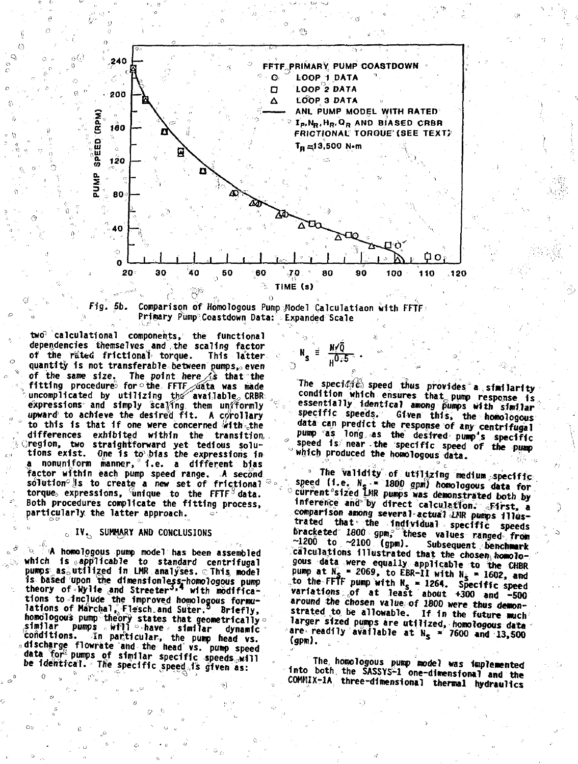



two<sup>p-c</sup>alculational components, the functional dependencies themselves and the scaling factor of the rated frictional torque. This latter quantity is not transferable between pumps, even of the same size. The point here is that the fitting procedure for the FFTF sata was made<br>uncomplicated by utilizing the available, CRBR: expressions and simply scaling them uniformly upward to achieve the desired fit. A corollary to this is that if one were concerned with the differences exhibited within the transition Creation, two straightforward yet tedious solu-<br>tions exist. One is to bias the expressions in<br>a nonuniform manner, i.e. a different bias factor within each pump speed range. A second<br>solution is to create a new set of frictional torque expressions, unique to the FFIF data.<br>Both procedures complicate the fitting process, particularly the latter approach.

 $\overline{t}$ 

-77

# **G. IV. SUMMARY AND CONCLUSIONS**

h homologous pump model has been assembled which is applicable to standard centrifugal pumps as utilized in LMR analyses. This model is based upon the dimensionless-homologous pump<br>theory of Wylie and Streeter<sup>3,4</sup> with modifications to include the improved homologous formulations of Marchal, Flesch and Suter.<sup>5</sup> Briefly, rations of marcually present sum such that dynamics is included by the conditions. The pump head was conditions. In particular, the pump head ws.<br>conditions. In particular, the pump head ws.<br>adischarge flowrate and the he data for pumps of similar specific speeds will be identical. The specific speed is given as:

The specioic speed thus provides a similarity condition which ensures that pump response is essentially identical among pumps with similar specific speeds. Given this, the homologous data can predict the response of any centrifugal pump as long as the desired pump's specific<br>speed is near the specific speed of the pump which produced the homologous data.

<sub>u</sub>0.5

" The Validity of utilizing medium specifics<br>speed (i.e. N<sub>S</sub> = 1800 gpm) homologous data for<br>current sized LNR pumps was demonstrated both by inference and by direct calculation. First, a comparison among several actual LNR pumps illustrated that the individual specific speeds bracketed 1800 gpm, these values ranged from  $\sim$ 1200 to  $\sim$ 2100 (gpm). Subsequent benchmark calculations illustrated that the chosen homologous data were equally applicable to the CHBR pump at  $N_s = 2069$ , to EBR-11 with  $N_s = 1602$ , and<br>to the FFIF pump with  $N_s = 1264$ . Specific speed<br>variations of at least about +300 and -500 around the chosen value of 1800 were thus demonstrated to be allowable. If in the future much larger sized pumps are utilized, homologous data<br>are readily available at  $N_S \approx 7600$  and 13,500 (gpm).

The homologous pump model was implemented into both the SASSYS-1 one-dimensional and the COMMIX-1A three-dimensional thermal hydraulics